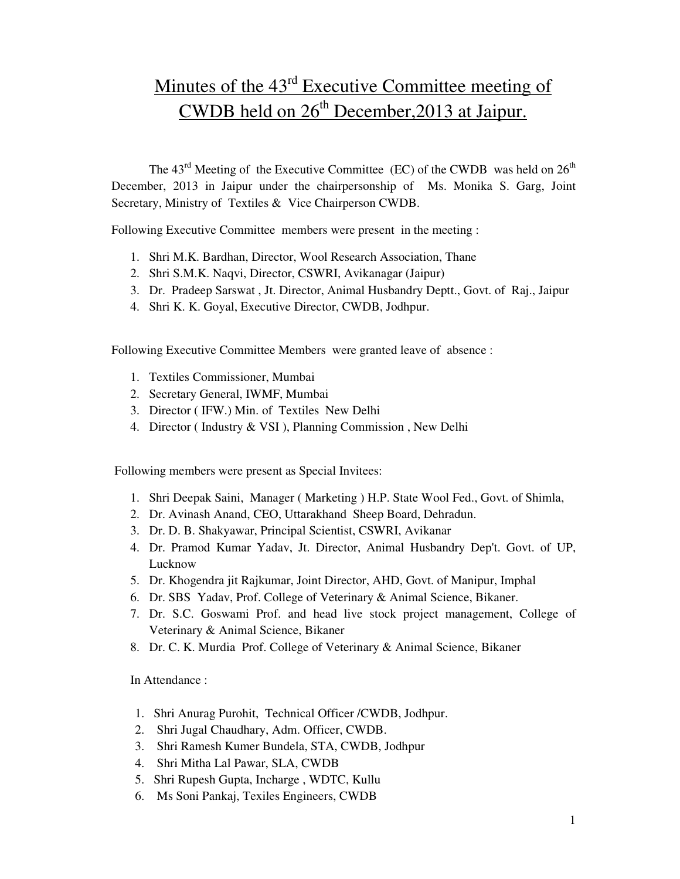# Minutes of the  $43<sup>rd</sup>$  Executive Committee meeting of CWDB held on  $26<sup>th</sup>$  December, 2013 at Jaipur.

The  $43<sup>rd</sup>$  Meeting of the Executive Committee (EC) of the CWDB was held on  $26<sup>th</sup>$ December, 2013 in Jaipur under the chairpersonship of Ms. Monika S. Garg, Joint Secretary, Ministry of Textiles & Vice Chairperson CWDB.

Following Executive Committee members were present in the meeting :

- 1. Shri M.K. Bardhan, Director, Wool Research Association, Thane
- 2. Shri S.M.K. Naqvi, Director, CSWRI, Avikanagar (Jaipur)
- 3. Dr. Pradeep Sarswat , Jt. Director, Animal Husbandry Deptt., Govt. of Raj., Jaipur
- 4. Shri K. K. Goyal, Executive Director, CWDB, Jodhpur.

Following Executive Committee Members were granted leave of absence :

- 1. Textiles Commissioner, Mumbai
- 2. Secretary General, IWMF, Mumbai
- 3. Director ( IFW.) Min. of Textiles New Delhi
- 4. Director ( Industry & VSI ), Planning Commission , New Delhi

Following members were present as Special Invitees:

- 1. Shri Deepak Saini, Manager ( Marketing ) H.P. State Wool Fed., Govt. of Shimla,
- 2. Dr. Avinash Anand, CEO, Uttarakhand Sheep Board, Dehradun.
- 3. Dr. D. B. Shakyawar, Principal Scientist, CSWRI, Avikanar
- 4. Dr. Pramod Kumar Yadav, Jt. Director, Animal Husbandry Dep't. Govt. of UP, Lucknow
- 5. Dr. Khogendra jit Rajkumar, Joint Director, AHD, Govt. of Manipur, Imphal
- 6. Dr. SBS Yadav, Prof. College of Veterinary & Animal Science, Bikaner.
- 7. Dr. S.C. Goswami Prof. and head live stock project management, College of Veterinary & Animal Science, Bikaner
- 8. Dr. C. K. Murdia Prof. College of Veterinary & Animal Science, Bikaner

In Attendance :

- 1. Shri Anurag Purohit, Technical Officer /CWDB, Jodhpur.
- 2. Shri Jugal Chaudhary, Adm. Officer, CWDB.
- 3. Shri Ramesh Kumer Bundela, STA, CWDB, Jodhpur
- 4. Shri Mitha Lal Pawar, SLA, CWDB
- 5. Shri Rupesh Gupta, Incharge , WDTC, Kullu
- 6. Ms Soni Pankaj, Texiles Engineers, CWDB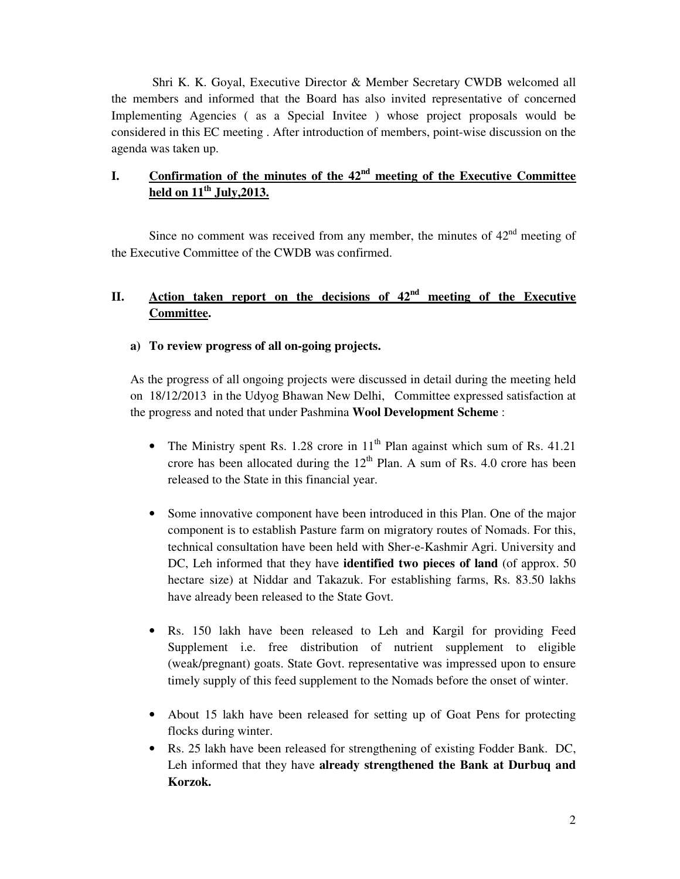Shri K. K. Goyal, Executive Director & Member Secretary CWDB welcomed all the members and informed that the Board has also invited representative of concerned Implementing Agencies ( as a Special Invitee ) whose project proposals would be considered in this EC meeting . After introduction of members, point-wise discussion on the agenda was taken up.

# **I. Confirmation of the minutes of the 42nd meeting of the Executive Committee held on 11th July,2013.**

Since no comment was received from any member, the minutes of  $42<sup>nd</sup>$  meeting of the Executive Committee of the CWDB was confirmed.

# **II. Action taken report on the decisions of 42nd meeting of the Executive Committee.**

### **a) To review progress of all on-going projects.**

As the progress of all ongoing projects were discussed in detail during the meeting held on 18/12/2013 in the Udyog Bhawan New Delhi, Committee expressed satisfaction at the progress and noted that under Pashmina **Wool Development Scheme** :

- The Ministry spent Rs. 1.28 crore in  $11<sup>th</sup>$  Plan against which sum of Rs. 41.21 crore has been allocated during the  $12<sup>th</sup>$  Plan. A sum of Rs. 4.0 crore has been released to the State in this financial year.
- Some innovative component have been introduced in this Plan. One of the major component is to establish Pasture farm on migratory routes of Nomads. For this, technical consultation have been held with Sher-e-Kashmir Agri. University and DC, Leh informed that they have **identified two pieces of land** (of approx. 50 hectare size) at Niddar and Takazuk. For establishing farms, Rs. 83.50 lakhs have already been released to the State Govt.
- Rs. 150 lakh have been released to Leh and Kargil for providing Feed Supplement i.e. free distribution of nutrient supplement to eligible (weak/pregnant) goats. State Govt. representative was impressed upon to ensure timely supply of this feed supplement to the Nomads before the onset of winter.
- About 15 lakh have been released for setting up of Goat Pens for protecting flocks during winter.
- Rs. 25 lakh have been released for strengthening of existing Fodder Bank. DC, Leh informed that they have **already strengthened the Bank at Durbuq and Korzok.**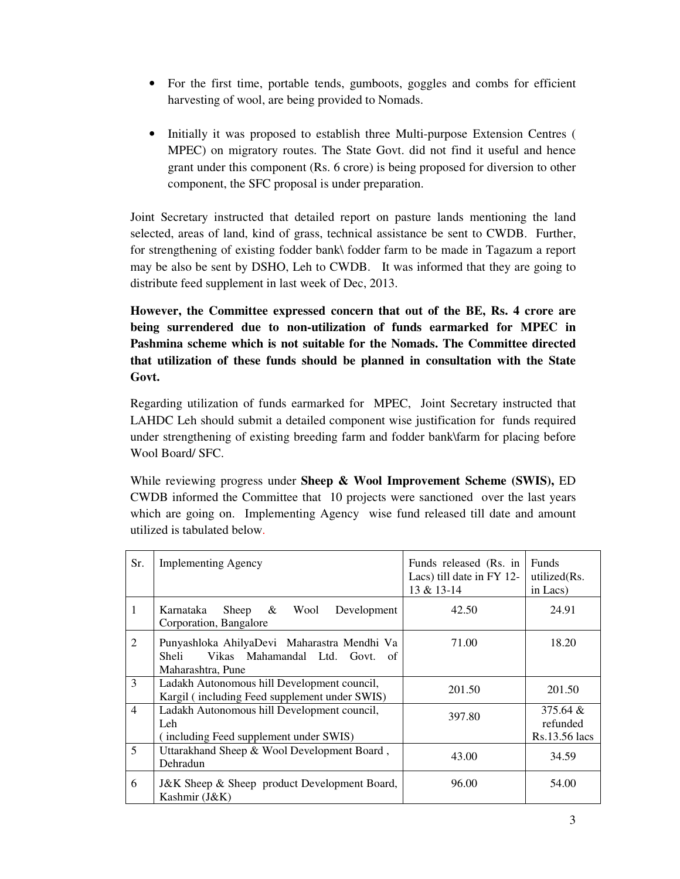- For the first time, portable tends, gumboots, goggles and combs for efficient harvesting of wool, are being provided to Nomads.
- Initially it was proposed to establish three Multi-purpose Extension Centres ( MPEC) on migratory routes. The State Govt. did not find it useful and hence grant under this component (Rs. 6 crore) is being proposed for diversion to other component, the SFC proposal is under preparation.

Joint Secretary instructed that detailed report on pasture lands mentioning the land selected, areas of land, kind of grass, technical assistance be sent to CWDB. Further, for strengthening of existing fodder bank\ fodder farm to be made in Tagazum a report may be also be sent by DSHO, Leh to CWDB. It was informed that they are going to distribute feed supplement in last week of Dec, 2013.

**However, the Committee expressed concern that out of the BE, Rs. 4 crore are being surrendered due to non-utilization of funds earmarked for MPEC in Pashmina scheme which is not suitable for the Nomads. The Committee directed that utilization of these funds should be planned in consultation with the State Govt.** 

Regarding utilization of funds earmarked for MPEC, Joint Secretary instructed that LAHDC Leh should submit a detailed component wise justification for funds required under strengthening of existing breeding farm and fodder bank\farm for placing before Wool Board/ SFC.

While reviewing progress under **Sheep & Wool Improvement Scheme (SWIS),** ED CWDB informed the Committee that 10 projects were sanctioned over the last years which are going on. Implementing Agency wise fund released till date and amount utilized is tabulated below.

| Sr.            | <b>Implementing Agency</b>                                                                                       | Funds released (Rs. in<br>Lacs) till date in FY 12-<br>13 & 13-14 | Funds<br>utilized(Rs.<br>in Lacs)        |
|----------------|------------------------------------------------------------------------------------------------------------------|-------------------------------------------------------------------|------------------------------------------|
| 1              | Sheep & Wool<br>Development<br>Karnataka<br>Corporation, Bangalore                                               | 42.50                                                             | 24.91                                    |
| $\mathfrak{D}$ | Punyashloka AhilyaDevi Maharastra Mendhi Va<br>Vikas Mahamandal Ltd. Govt.<br>Sheli<br>- of<br>Maharashtra, Pune | 71.00                                                             | 18.20                                    |
| 3              | Ladakh Autonomous hill Development council,<br>Kargil (including Feed supplement under SWIS)                     | 201.50                                                            | 201.50                                   |
| $\overline{4}$ | Ladakh Autonomous hill Development council,<br>Leh<br>(including Feed supplement under SWIS)                     | 397.80                                                            | $375.64 \&$<br>refunded<br>Rs.13.56 lacs |
| 5              | Uttarakhand Sheep & Wool Development Board,<br>Dehradun                                                          | 43.00                                                             | 34.59                                    |
| 6              | J&K Sheep & Sheep product Development Board,<br>Kashmir (J&K)                                                    | 96.00                                                             | 54.00                                    |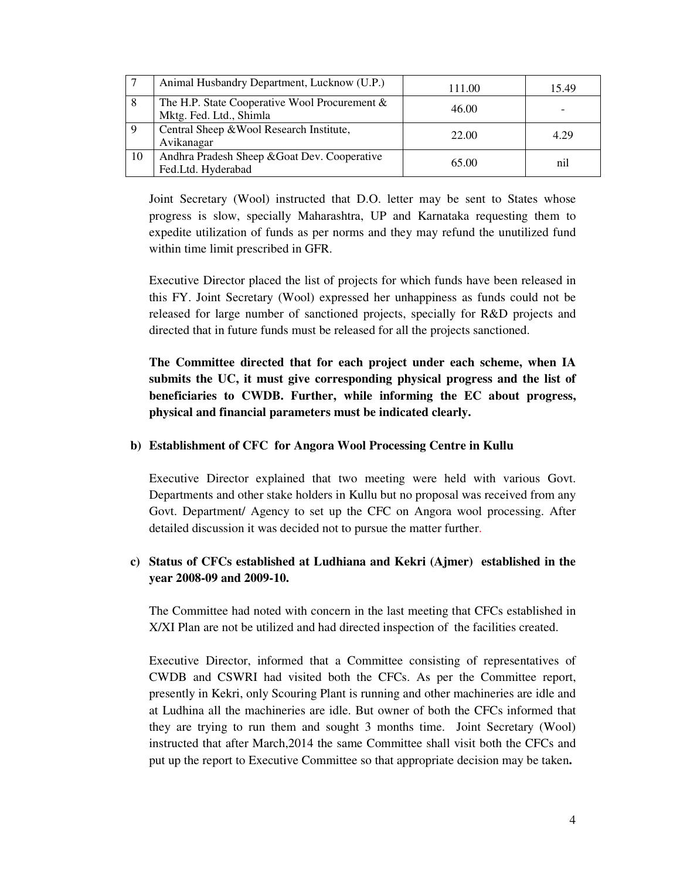|    | Animal Husbandry Department, Lucknow (U.P.)                              | 111.00 | 15.49 |
|----|--------------------------------------------------------------------------|--------|-------|
|    | The H.P. State Cooperative Wool Procurement &<br>Mktg. Fed. Ltd., Shimla | 46.00  |       |
|    | Central Sheep & Wool Research Institute,<br>Avikanagar                   | 22.00  | 4.29  |
| 10 | Andhra Pradesh Sheep & Goat Dev. Cooperative<br>Fed.Ltd. Hyderabad       | 65.00  | nil   |

Joint Secretary (Wool) instructed that D.O. letter may be sent to States whose progress is slow, specially Maharashtra, UP and Karnataka requesting them to expedite utilization of funds as per norms and they may refund the unutilized fund within time limit prescribed in GFR.

Executive Director placed the list of projects for which funds have been released in this FY. Joint Secretary (Wool) expressed her unhappiness as funds could not be released for large number of sanctioned projects, specially for R&D projects and directed that in future funds must be released for all the projects sanctioned.

**The Committee directed that for each project under each scheme, when IA submits the UC, it must give corresponding physical progress and the list of beneficiaries to CWDB. Further, while informing the EC about progress, physical and financial parameters must be indicated clearly.** 

#### **b) Establishment of CFC for Angora Wool Processing Centre in Kullu**

Executive Director explained that two meeting were held with various Govt. Departments and other stake holders in Kullu but no proposal was received from any Govt. Department/ Agency to set up the CFC on Angora wool processing. After detailed discussion it was decided not to pursue the matter further.

## **c) Status of CFCs established at Ludhiana and Kekri (Ajmer) established in the year 2008-09 and 2009-10.**

The Committee had noted with concern in the last meeting that CFCs established in X/XI Plan are not be utilized and had directed inspection of the facilities created.

Executive Director, informed that a Committee consisting of representatives of CWDB and CSWRI had visited both the CFCs. As per the Committee report, presently in Kekri, only Scouring Plant is running and other machineries are idle and at Ludhina all the machineries are idle. But owner of both the CFCs informed that they are trying to run them and sought 3 months time. Joint Secretary (Wool) instructed that after March,2014 the same Committee shall visit both the CFCs and put up the report to Executive Committee so that appropriate decision may be taken**.**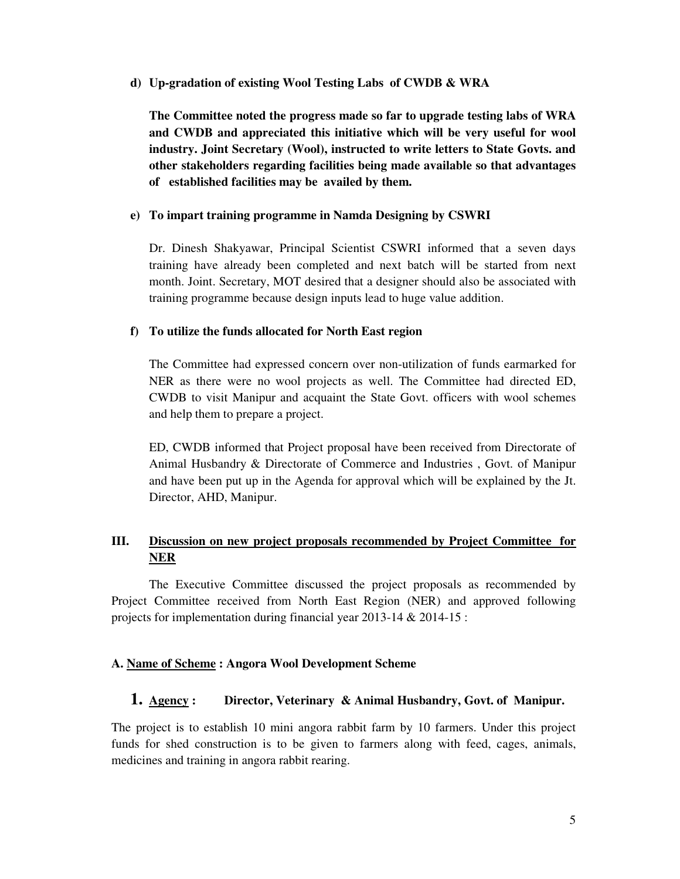#### **d) Up-gradation of existing Wool Testing Labs of CWDB & WRA**

**The Committee noted the progress made so far to upgrade testing labs of WRA and CWDB and appreciated this initiative which will be very useful for wool industry. Joint Secretary (Wool), instructed to write letters to State Govts. and other stakeholders regarding facilities being made available so that advantages of established facilities may be availed by them.** 

#### **e) To impart training programme in Namda Designing by CSWRI**

Dr. Dinesh Shakyawar, Principal Scientist CSWRI informed that a seven days training have already been completed and next batch will be started from next month. Joint. Secretary, MOT desired that a designer should also be associated with training programme because design inputs lead to huge value addition.

#### **f) To utilize the funds allocated for North East region**

The Committee had expressed concern over non-utilization of funds earmarked for NER as there were no wool projects as well. The Committee had directed ED, CWDB to visit Manipur and acquaint the State Govt. officers with wool schemes and help them to prepare a project.

ED, CWDB informed that Project proposal have been received from Directorate of Animal Husbandry & Directorate of Commerce and Industries , Govt. of Manipur and have been put up in the Agenda for approval which will be explained by the Jt. Director, AHD, Manipur.

## **III. Discussion on new project proposals recommended by Project Committee for NER**

 The Executive Committee discussed the project proposals as recommended by Project Committee received from North East Region (NER) and approved following projects for implementation during financial year 2013-14 & 2014-15 :

#### **A. Name of Scheme : Angora Wool Development Scheme**

#### **1. Agency : Director, Veterinary & Animal Husbandry, Govt. of Manipur.**

The project is to establish 10 mini angora rabbit farm by 10 farmers. Under this project funds for shed construction is to be given to farmers along with feed, cages, animals, medicines and training in angora rabbit rearing.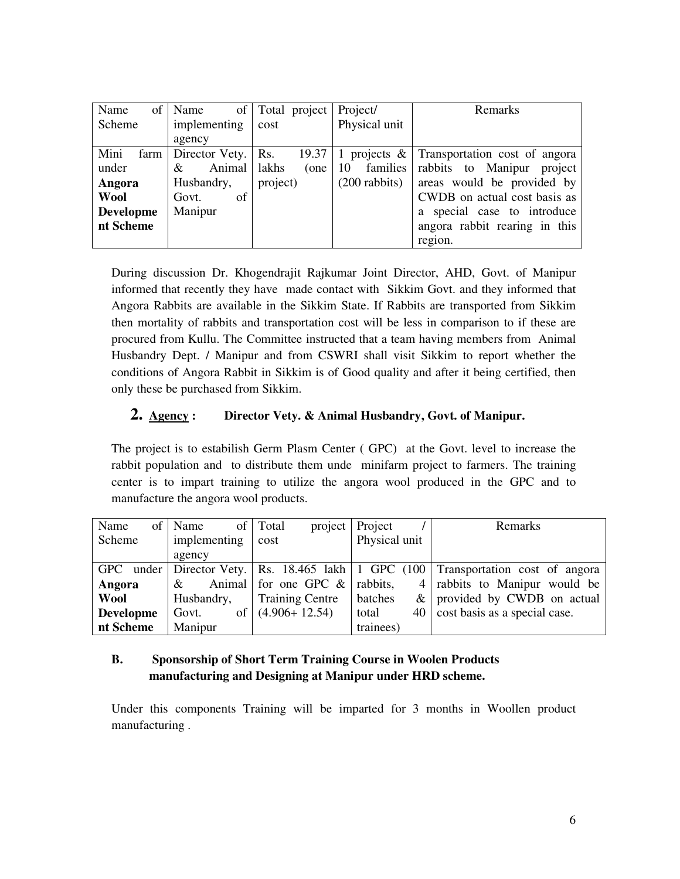| of<br>Name       | Name                | of Total project | Project/                  | <b>Remarks</b>                                          |
|------------------|---------------------|------------------|---------------------------|---------------------------------------------------------|
| Scheme           | implementing        | cost             | Physical unit             |                                                         |
|                  | agency              |                  |                           |                                                         |
| Mini<br>farm     | Director Vety. Rs.  |                  |                           | 19.37   1 projects $\&$   Transportation cost of angora |
| under            | Animal   lakhs<br>& | (one             | families<br><sup>10</sup> | rabbits to Manipur project                              |
| Angora           | Husbandry,          | project)         | $(200 \text{ rabbits})$   | areas would be provided by                              |
| <b>Wool</b>      | of<br>Govt.         |                  |                           | CWDB on actual cost basis as                            |
| <b>Developme</b> | Manipur             |                  |                           | a special case to introduce                             |
| nt Scheme        |                     |                  |                           | angora rabbit rearing in this                           |
|                  |                     |                  |                           | region.                                                 |

During discussion Dr. Khogendrajit Rajkumar Joint Director, AHD, Govt. of Manipur informed that recently they have made contact with Sikkim Govt. and they informed that Angora Rabbits are available in the Sikkim State. If Rabbits are transported from Sikkim then mortality of rabbits and transportation cost will be less in comparison to if these are procured from Kullu. The Committee instructed that a team having members from Animal Husbandry Dept. / Manipur and from CSWRI shall visit Sikkim to report whether the conditions of Angora Rabbit in Sikkim is of Good quality and after it being certified, then only these be purchased from Sikkim.

## **2. Agency : Director Vety. & Animal Husbandry, Govt. of Manipur.**

The project is to estabilish Germ Plasm Center ( GPC) at the Govt. level to increase the rabbit population and to distribute them unde minifarm project to farmers. The training center is to impart training to utilize the angora wool produced in the GPC and to manufacture the angora wool products.

| Name             | of   Name    | project<br>of   Total   | Project       | Remarks                                                                                      |
|------------------|--------------|-------------------------|---------------|----------------------------------------------------------------------------------------------|
| Scheme           | implementing | cost                    | Physical unit |                                                                                              |
|                  | agency       |                         |               |                                                                                              |
|                  |              |                         |               | GPC under   Director Vety.   Rs. 18.465 lakh   1 GPC $(100)$   Transportation cost of angora |
| Angora           | &            | Animal for one GPC $\&$ | rabbits,      | 4   rabbits to Manipur would be                                                              |
| Wool             | Husbandry,   | <b>Training Centre</b>  | batches       | $\&$   provided by CWDB on actual                                                            |
| <b>Developme</b> | Govt.        | of $(4.906+12.54)$      | total         | 40   cost basis as a special case.                                                           |
| nt Scheme        | Manipur      |                         | trainees)     |                                                                                              |

## **B. Sponsorship of Short Term Training Course in Woolen Products manufacturing and Designing at Manipur under HRD scheme.**

Under this components Training will be imparted for 3 months in Woollen product manufacturing .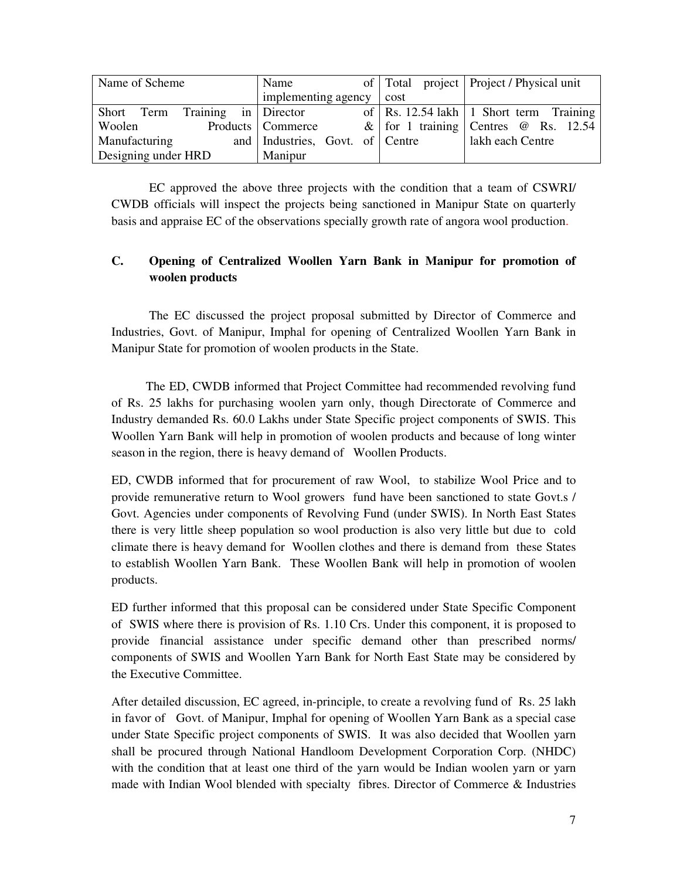| Name of Scheme                  | Name                            |      | of   Total project   Project / Physical unit |
|---------------------------------|---------------------------------|------|----------------------------------------------|
|                                 | implementing agency             | cost |                                              |
| Short Term Training in Director |                                 |      | of   Rs. 12.54 lakh   1 Short term Training  |
| Woolen                          | Products   Commerce             |      | & for 1 training Centres $\omega$ Rs. 12.54  |
| Manufacturing                   | and Industries, Govt. of Centre |      | lakh each Centre                             |
| Designing under HRD             | Manipur                         |      |                                              |

 EC approved the above three projects with the condition that a team of CSWRI/ CWDB officials will inspect the projects being sanctioned in Manipur State on quarterly basis and appraise EC of the observations specially growth rate of angora wool production.

## **C. Opening of Centralized Woollen Yarn Bank in Manipur for promotion of woolen products**

 The EC discussed the project proposal submitted by Director of Commerce and Industries, Govt. of Manipur, Imphal for opening of Centralized Woollen Yarn Bank in Manipur State for promotion of woolen products in the State.

 The ED, CWDB informed that Project Committee had recommended revolving fund of Rs. 25 lakhs for purchasing woolen yarn only, though Directorate of Commerce and Industry demanded Rs. 60.0 Lakhs under State Specific project components of SWIS. This Woollen Yarn Bank will help in promotion of woolen products and because of long winter season in the region, there is heavy demand of Woollen Products.

ED, CWDB informed that for procurement of raw Wool, to stabilize Wool Price and to provide remunerative return to Wool growers fund have been sanctioned to state Govt.s / Govt. Agencies under components of Revolving Fund (under SWIS). In North East States there is very little sheep population so wool production is also very little but due to cold climate there is heavy demand for Woollen clothes and there is demand from these States to establish Woollen Yarn Bank. These Woollen Bank will help in promotion of woolen products.

ED further informed that this proposal can be considered under State Specific Component of SWIS where there is provision of Rs. 1.10 Crs. Under this component, it is proposed to provide financial assistance under specific demand other than prescribed norms/ components of SWIS and Woollen Yarn Bank for North East State may be considered by the Executive Committee.

After detailed discussion, EC agreed, in-principle, to create a revolving fund of Rs. 25 lakh in favor of Govt. of Manipur, Imphal for opening of Woollen Yarn Bank as a special case under State Specific project components of SWIS. It was also decided that Woollen yarn shall be procured through National Handloom Development Corporation Corp. (NHDC) with the condition that at least one third of the yarn would be Indian woolen yarn or yarn made with Indian Wool blended with specialty fibres. Director of Commerce  $\&$  Industries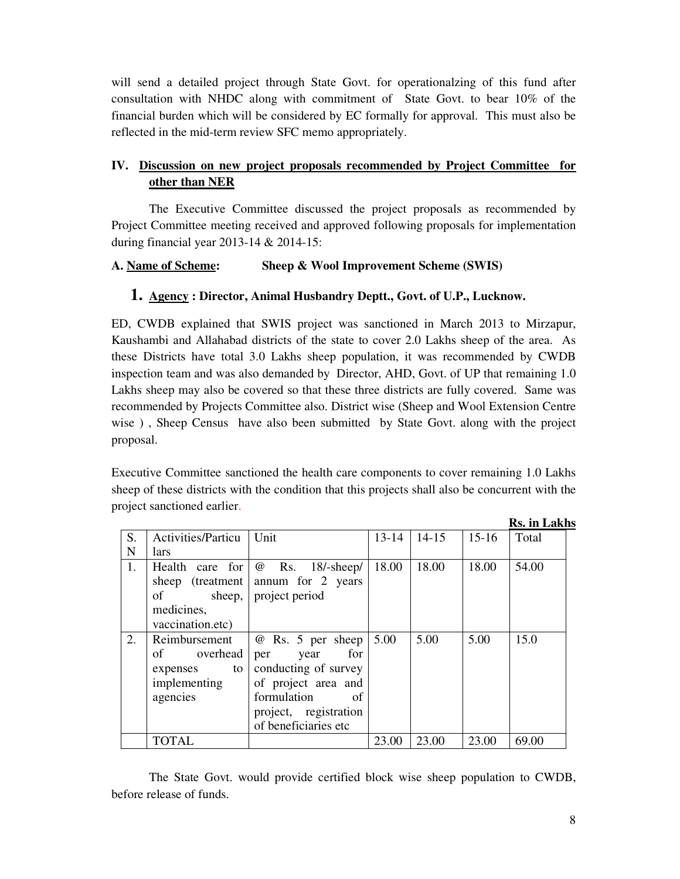will send a detailed project through State Govt. for operationalzing of this fund after consultation with NHDC along with commitment of State Govt. to bear 10% of the financial burden which will be considered by EC formally for approval. This must also be reflected in the mid-term review SFC memo appropriately.

## **IV. Discussion on new project proposals recommended by Project Committee for other than NER**

 The Executive Committee discussed the project proposals as recommended by Project Committee meeting received and approved following proposals for implementation during financial year 2013-14 & 2014-15:

## **A. Name of Scheme: Sheep & Wool Improvement Scheme (SWIS)**

## **1. Agency : Director, Animal Husbandry Deptt., Govt. of U.P., Lucknow.**

ED, CWDB explained that SWIS project was sanctioned in March 2013 to Mirzapur, Kaushambi and Allahabad districts of the state to cover 2.0 Lakhs sheep of the area. As these Districts have total 3.0 Lakhs sheep population, it was recommended by CWDB inspection team and was also demanded by Director, AHD, Govt. of UP that remaining 1.0 Lakhs sheep may also be covered so that these three districts are fully covered. Same was recommended by Projects Committee also. District wise (Sheep and Wool Extension Centre wise ) , Sheep Census have also been submitted by State Govt. along with the project proposal.

Executive Committee sanctioned the health care components to cover remaining 1.0 Lakhs sheep of these districts with the condition that this projects shall also be concurrent with the project sanctioned earlier.

**Rs. in Lakhs**

| S. | <b>Activities/Particu</b> | Unit                                       | $13 - 14$ | $14 - 15$ | $15-16$ | Total |
|----|---------------------------|--------------------------------------------|-----------|-----------|---------|-------|
| N  | lars                      |                                            |           |           |         |       |
| 1. |                           | Health care for $\emptyset$ Rs. 18/-sheep/ | 18.00     | 18.00     | 18.00   | 54.00 |
|    |                           | sheep (treatment annum for 2 years         |           |           |         |       |
|    | $\sigma$ of               | sheep,   project period                    |           |           |         |       |
|    | medicines,                |                                            |           |           |         |       |
|    | vaccination.etc)          |                                            |           |           |         |       |
| 2. | Reimbursement             | @ Rs. 5 per sheep   5.00                   |           | 5.00      | 5.00    | 15.0  |
|    | overhead<br>of            | for<br>year<br>per                         |           |           |         |       |
|    | to<br>expenses            | conducting of survey                       |           |           |         |       |
|    | implementing              | of project area and                        |           |           |         |       |
|    | agencies                  | formulation<br>- of                        |           |           |         |       |
|    |                           | project, registration                      |           |           |         |       |
|    |                           | of beneficiaries etc                       |           |           |         |       |
|    | TOTAL                     |                                            | 23.00     | 23.00     | 23.00   | 69.00 |

The State Govt. would provide certified block wise sheep population to CWDB, before release of funds.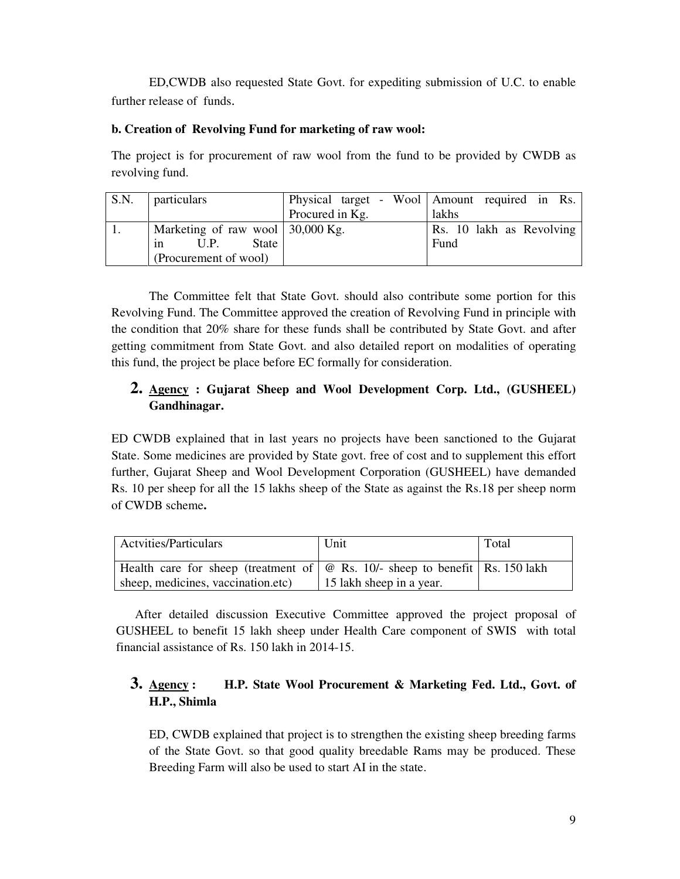ED,CWDB also requested State Govt. for expediting submission of U.C. to enable further release of funds.

## **b. Creation of Revolving Fund for marketing of raw wool:**

The project is for procurement of raw wool from the fund to be provided by CWDB as revolving fund.

| S.N. | <i>particulars</i>                                     |                 | Physical target - Wool   Amount required in Rs. |
|------|--------------------------------------------------------|-----------------|-------------------------------------------------|
|      |                                                        | Procured in Kg. | lakhs                                           |
|      | Marketing of raw wool $\vert 30,000 \text{ Kg.} \vert$ |                 | Rs. 10 lakh as Revolving                        |
|      | State<br>U.P.<br>1n                                    |                 | Fund                                            |
|      | (Procurement of wool)                                  |                 |                                                 |

 The Committee felt that State Govt. should also contribute some portion for this Revolving Fund. The Committee approved the creation of Revolving Fund in principle with the condition that 20% share for these funds shall be contributed by State Govt. and after getting commitment from State Govt. and also detailed report on modalities of operating this fund, the project be place before EC formally for consideration.

# **2. Agency : Gujarat Sheep and Wool Development Corp. Ltd., (GUSHEEL) Gandhinagar.**

ED CWDB explained that in last years no projects have been sanctioned to the Gujarat State. Some medicines are provided by State govt. free of cost and to supplement this effort further, Gujarat Sheep and Wool Development Corporation (GUSHEEL) have demanded Rs. 10 per sheep for all the 15 lakhs sheep of the State as against the Rs.18 per sheep norm of CWDB scheme**.** 

| <b>Actvities/Particulars</b>                                                      | Unit                     | Total |
|-----------------------------------------------------------------------------------|--------------------------|-------|
| Health care for sheep (treatment of $\phi$ Rs. 10/- sheep to benefit Rs. 150 lakh |                          |       |
| sheep, medicines, vaccination.etc)                                                | 15 lakh sheep in a year. |       |

After detailed discussion Executive Committee approved the project proposal of GUSHEEL to benefit 15 lakh sheep under Health Care component of SWIS with total financial assistance of Rs. 150 lakh in 2014-15.

# **3. Agency : H.P. State Wool Procurement & Marketing Fed. Ltd., Govt. of H.P., Shimla**

ED, CWDB explained that project is to strengthen the existing sheep breeding farms of the State Govt. so that good quality breedable Rams may be produced. These Breeding Farm will also be used to start AI in the state.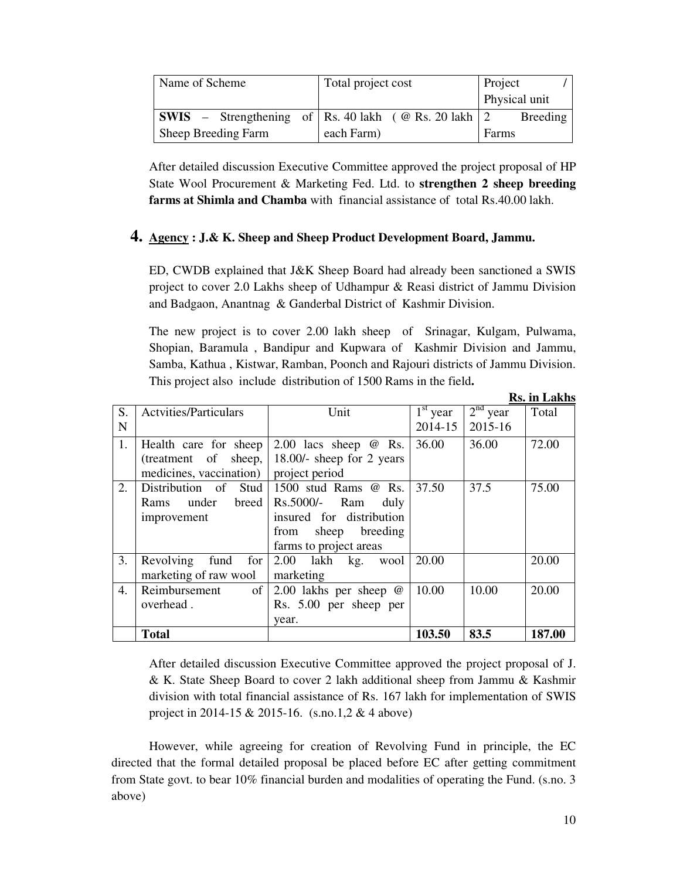| Name of Scheme                                                     | Total project cost | Project       |
|--------------------------------------------------------------------|--------------------|---------------|
|                                                                    |                    | Physical unit |
| <b>SWIS</b> – Strengthening of   Rs. 40 lakh ( $@$ Rs. 20 lakh   2 |                    | Breeding      |
| Sheep Breeding Farm                                                | each Farm)         | Farms         |

After detailed discussion Executive Committee approved the project proposal of HP State Wool Procurement & Marketing Fed. Ltd. to **strengthen 2 sheep breeding farms at Shimla and Chamba** with financial assistance of total Rs.40.00 lakh.

## **4. Agency : J.& K. Sheep and Sheep Product Development Board, Jammu.**

ED, CWDB explained that J&K Sheep Board had already been sanctioned a SWIS project to cover 2.0 Lakhs sheep of Udhampur & Reasi district of Jammu Division and Badgaon, Anantnag & Ganderbal District of Kashmir Division.

The new project is to cover 2.00 lakh sheep of Srinagar, Kulgam, Pulwama, Shopian, Baramula , Bandipur and Kupwara of Kashmir Division and Jammu, Samba, Kathua , Kistwar, Ramban, Poonch and Rajouri districts of Jammu Division. This project also include distribution of 1500 Rams in the field**.** 

|    |                                  |                                                                  |                                 |            | <b>KS. In Lakns</b> |
|----|----------------------------------|------------------------------------------------------------------|---------------------------------|------------|---------------------|
| S. | <b>Actvities/Particulars</b>     | Unit                                                             | $\overline{1}^{\text{st}}$ year | $2nd$ year | Total               |
| N  |                                  |                                                                  | 2014-15                         | 2015-16    |                     |
| 1. |                                  | Health care for sheep $\vert 2.00 \vert$ lacs sheep $\omega$ Rs. | 36.00                           | 36.00      | 72.00               |
|    | (treatment of sheep,             | 18.00/- sheep for 2 years                                        |                                 |            |                     |
|    | medicines, vaccination)          | project period                                                   |                                 |            |                     |
| 2. |                                  | Distribution of Stud 1500 stud Rams $@$ Rs.                      | 37.50                           | 37.5       | 75.00               |
|    | under<br><b>Rams</b>             | $breed$   Rs.5000/-<br>Ram<br>duly                               |                                 |            |                     |
|    | improvement                      | insured for distribution                                         |                                 |            |                     |
|    |                                  | sheep breeding<br>from                                           |                                 |            |                     |
|    |                                  | farms to project areas                                           |                                 |            |                     |
| 3. | Revolving<br>fund<br>for $\vert$ | 2.00 lakh kg. wool                                               | 20.00                           |            | 20.00               |
|    | marketing of raw wool            | marketing                                                        |                                 |            |                     |
| 4. | Reimbursement<br>of              | 2.00 lakhs per sheep $@$                                         | 10.00                           | 10.00      | 20.00               |
|    | overhead.                        | Rs. 5.00 per sheep per                                           |                                 |            |                     |
|    |                                  | year.                                                            |                                 |            |                     |
|    | <b>Total</b>                     |                                                                  | 103.50                          | 83.5       | 187.00              |

After detailed discussion Executive Committee approved the project proposal of J. & K. State Sheep Board to cover 2 lakh additional sheep from Jammu & Kashmir division with total financial assistance of Rs. 167 lakh for implementation of SWIS project in 2014-15 & 2015-16. (s.no.1,2 & 4 above)

However, while agreeing for creation of Revolving Fund in principle, the EC directed that the formal detailed proposal be placed before EC after getting commitment from State govt. to bear 10% financial burden and modalities of operating the Fund. (s.no. 3 above)

**Rs. in Lakhs**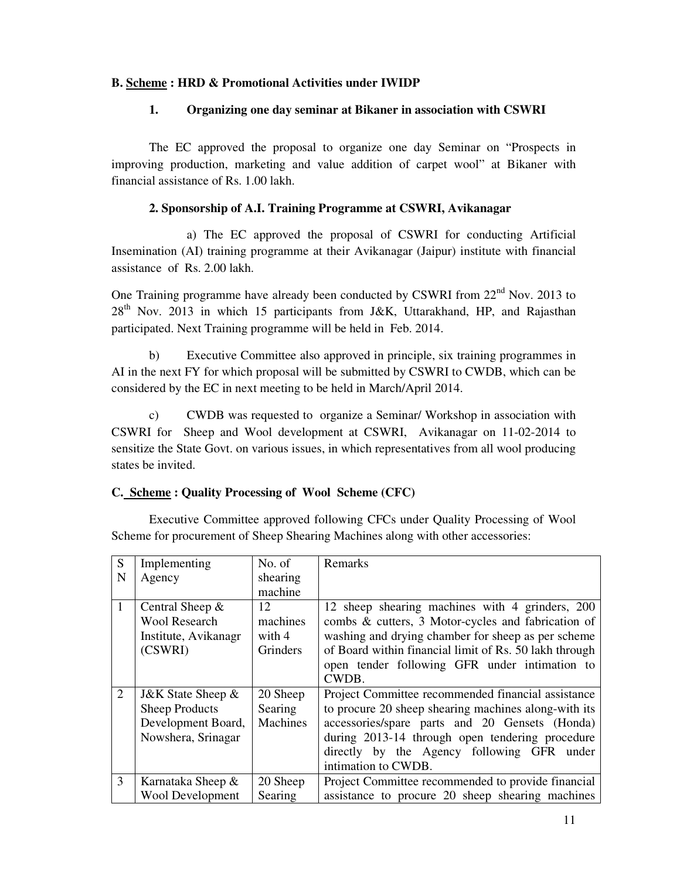## **B. Scheme : HRD & Promotional Activities under IWIDP**

#### **1. Organizing one day seminar at Bikaner in association with CSWRI**

 The EC approved the proposal to organize one day Seminar on "Prospects in improving production, marketing and value addition of carpet wool" at Bikaner with financial assistance of Rs. 1.00 lakh.

#### **2. Sponsorship of A.I. Training Programme at CSWRI, Avikanagar**

 a) The EC approved the proposal of CSWRI for conducting Artificial Insemination (AI) training programme at their Avikanagar (Jaipur) institute with financial assistance of Rs. 2.00 lakh.

One Training programme have already been conducted by CSWRI from  $22<sup>nd</sup>$  Nov. 2013 to 28<sup>th</sup> Nov. 2013 in which 15 participants from J&K, Uttarakhand, HP, and Rajasthan participated. Next Training programme will be held in Feb. 2014.

 b) Executive Committee also approved in principle, six training programmes in AI in the next FY for which proposal will be submitted by CSWRI to CWDB, which can be considered by the EC in next meeting to be held in March/April 2014.

 c) CWDB was requested to organize a Seminar/ Workshop in association with CSWRI for Sheep and Wool development at CSWRI, Avikanagar on 11-02-2014 to sensitize the State Govt. on various issues, in which representatives from all wool producing states be invited.

#### **C. Scheme : Quality Processing of Wool Scheme (CFC)**

 Executive Committee approved following CFCs under Quality Processing of Wool Scheme for procurement of Sheep Shearing Machines along with other accessories:

| S | Implementing            | No. of   | Remarks                                                |
|---|-------------------------|----------|--------------------------------------------------------|
| N | Agency                  | shearing |                                                        |
|   |                         | machine  |                                                        |
| 1 | Central Sheep $\&$      | 12       | 12 sheep shearing machines with 4 grinders, 200        |
|   | <b>Wool Research</b>    | machines | combs & cutters, 3 Motor-cycles and fabrication of     |
|   | Institute, Avikanagr    | with 4   | washing and drying chamber for sheep as per scheme     |
|   | (CSWRI)                 | Grinders | of Board within financial limit of Rs. 50 lakh through |
|   |                         |          | open tender following GFR under intimation to          |
|   |                         |          | CWDB.                                                  |
| 2 | J&K State Sheep $\&$    | 20 Sheep | Project Committee recommended financial assistance     |
|   | <b>Sheep Products</b>   | Searing  | to procure 20 sheep shearing machines along-with its   |
|   | Development Board,      | Machines | accessories/spare parts and 20 Gensets (Honda)         |
|   | Nowshera, Srinagar      |          | during 2013-14 through open tendering procedure        |
|   |                         |          | directly by the Agency following GFR under             |
|   |                         |          | intimation to CWDB.                                    |
| 3 | Karnataka Sheep &       | 20 Sheep | Project Committee recommended to provide financial     |
|   | <b>Wool Development</b> | Searing  | assistance to procure 20 sheep shearing machines       |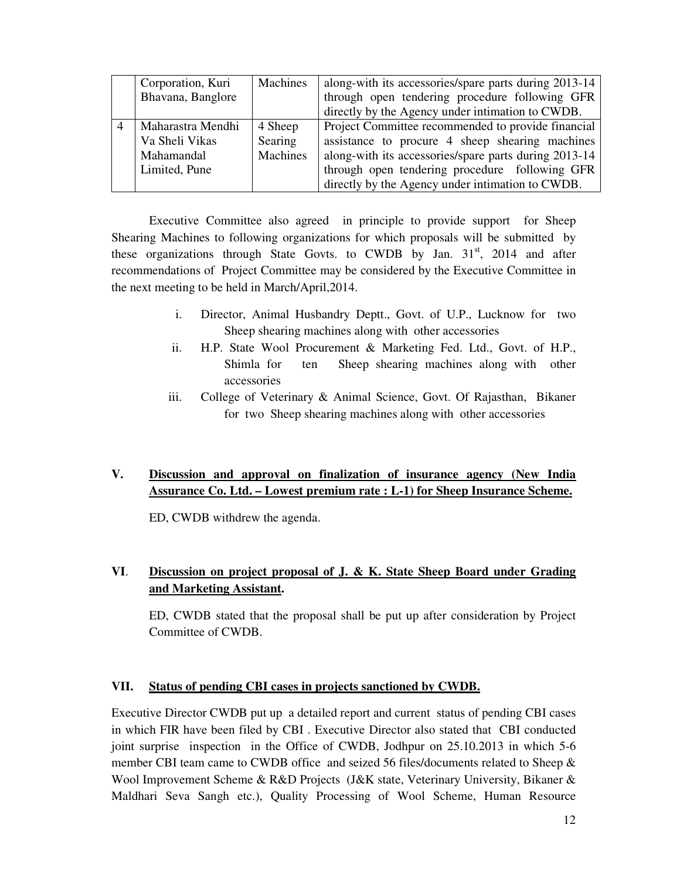| Corporation, Kuri | Machines | along-with its accessories/spare parts during 2013-14 |
|-------------------|----------|-------------------------------------------------------|
| Bhavana, Banglore |          | through open tendering procedure following GFR        |
|                   |          | directly by the Agency under intimation to CWDB.      |
| Maharastra Mendhi | 4 Sheep  | Project Committee recommended to provide financial    |
| Va Sheli Vikas    | Searing  | assistance to procure 4 sheep shearing machines       |
| Mahamandal        | Machines | along-with its accessories/spare parts during 2013-14 |
| Limited, Pune     |          | through open tendering procedure following GFR        |
|                   |          | directly by the Agency under intimation to CWDB.      |

Executive Committee also agreed in principle to provide support for Sheep Shearing Machines to following organizations for which proposals will be submitted by these organizations through State Govts. to CWDB by Jan.  $31<sup>st</sup>$ , 2014 and after recommendations of Project Committee may be considered by the Executive Committee in the next meeting to be held in March/April,2014.

- i. Director, Animal Husbandry Deptt., Govt. of U.P., Lucknow for two Sheep shearing machines along with other accessories
- ii. H.P. State Wool Procurement & Marketing Fed. Ltd., Govt. of H.P., Shimla for ten Sheep shearing machines along with other accessories
- iii. College of Veterinary & Animal Science, Govt. Of Rajasthan, Bikaner for two Sheep shearing machines along with other accessories

# **V. Discussion and approval on finalization of insurance agency (New India Assurance Co. Ltd. – Lowest premium rate : L-1) for Sheep Insurance Scheme.**

ED, CWDB withdrew the agenda.

# **VI**. **Discussion on project proposal of J. & K. State Sheep Board under Grading and Marketing Assistant.**

ED, CWDB stated that the proposal shall be put up after consideration by Project Committee of CWDB.

## **VII. Status of pending CBI cases in projects sanctioned by CWDB.**

Executive Director CWDB put up a detailed report and current status of pending CBI cases in which FIR have been filed by CBI . Executive Director also stated that CBI conducted joint surprise inspection in the Office of CWDB, Jodhpur on 25.10.2013 in which 5-6 member CBI team came to CWDB office and seized 56 files/documents related to Sheep & Wool Improvement Scheme & R&D Projects (J&K state, Veterinary University, Bikaner & Maldhari Seva Sangh etc.), Quality Processing of Wool Scheme, Human Resource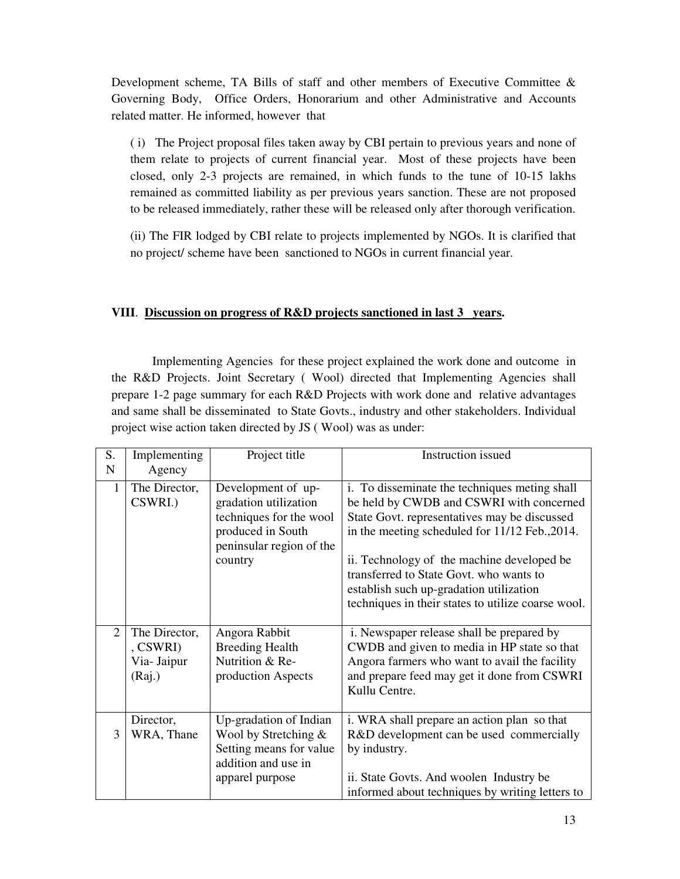Development scheme, TA Bills of staff and other members of Executive Committee & Governing Body, Office Orders, Honorarium and other Administrative and Accounts related matter. He informed, however that

( i) The Project proposal files taken away by CBI pertain to previous years and none of them relate to projects of current financial year. Most of these projects have been closed, only 2-3 projects are remained, in which funds to the tune of 10-15 lakhs remained as committed liability as per previous years sanction. These are not proposed to be released immediately, rather these will be released only after thorough verification.

(ii) The FIR lodged by CBI relate to projects implemented by NGOs. It is clarified that no project/ scheme have been sanctioned to NGOs in current financial year.

### **VIII**. **Discussion on progress of R&D projects sanctioned in last 3 years.**

 Implementing Agencies for these project explained the work done and outcome in the R&D Projects. Joint Secretary ( Wool) directed that Implementing Agencies shall prepare 1-2 page summary for each R&D Projects with work done and relative advantages and same shall be disseminated to State Govts., industry and other stakeholders. Individual project wise action taken directed by JS ( Wool) was as under:

| S.<br>$\mathbf N$           | Implementing<br>Agency                                  | Project title                                                                                                                      | <b>Instruction</b> issued                                                                                                                                                                                                                                                                                                                                                             |
|-----------------------------|---------------------------------------------------------|------------------------------------------------------------------------------------------------------------------------------------|---------------------------------------------------------------------------------------------------------------------------------------------------------------------------------------------------------------------------------------------------------------------------------------------------------------------------------------------------------------------------------------|
| 1                           | The Director,<br>CSWRI.)                                | Development of up-<br>gradation utilization<br>techniques for the wool<br>produced in South<br>peninsular region of the<br>country | i. To disseminate the techniques meting shall<br>be held by CWDB and CSWRI with concerned<br>State Govt. representatives may be discussed<br>in the meeting scheduled for 11/12 Feb., 2014.<br>ii. Technology of the machine developed be<br>transferred to State Govt. who wants to<br>establish such up-gradation utilization<br>techniques in their states to utilize coarse wool. |
| $\mathcal{D}_{\mathcal{L}}$ | The Director,<br>$,$ CSWRI $)$<br>Via- Jaipur<br>(Rai.) | Angora Rabbit<br><b>Breeding Health</b><br>Nutrition & Re-<br>production Aspects                                                   | i. Newspaper release shall be prepared by<br>CWDB and given to media in HP state so that<br>Angora farmers who want to avail the facility<br>and prepare feed may get it done from CSWRI<br>Kullu Centre.                                                                                                                                                                             |
| 3                           | Director,<br>WRA, Thane                                 | Up-gradation of Indian<br>Wool by Stretching $\&$<br>Setting means for value<br>addition and use in<br>apparel purpose             | i. WRA shall prepare an action plan so that<br>R&D development can be used commercially<br>by industry.<br>ii. State Govts. And woolen Industry be<br>informed about techniques by writing letters to                                                                                                                                                                                 |